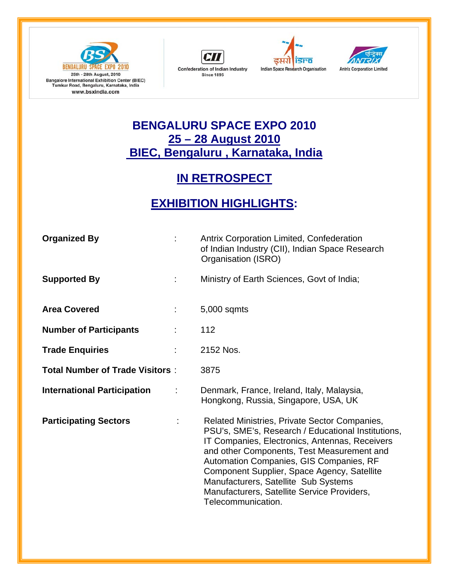







## **BENGALURU SPACE EXPO 2010 25 – 28 August 2010 BIEC, Bengaluru , Karnataka, India**

## **IN RETROSPECT**

## **EXHIBITION HIGHLIGHTS:**

| <b>Organized By</b>                    | ÷  | <b>Antrix Corporation Limited, Confederation</b><br>of Indian Industry (CII), Indian Space Research<br>Organisation (ISRO)                                                                                                                                                                                                                                                                                 |
|----------------------------------------|----|------------------------------------------------------------------------------------------------------------------------------------------------------------------------------------------------------------------------------------------------------------------------------------------------------------------------------------------------------------------------------------------------------------|
| <b>Supported By</b>                    | t. | Ministry of Earth Sciences, Govt of India;                                                                                                                                                                                                                                                                                                                                                                 |
| <b>Area Covered</b>                    | ÷  | 5,000 sqmts                                                                                                                                                                                                                                                                                                                                                                                                |
| <b>Number of Participants</b>          |    | 112                                                                                                                                                                                                                                                                                                                                                                                                        |
| <b>Trade Enquiries</b>                 | ÷  | 2152 Nos.                                                                                                                                                                                                                                                                                                                                                                                                  |
| <b>Total Number of Trade Visitors:</b> |    | 3875                                                                                                                                                                                                                                                                                                                                                                                                       |
| <b>International Participation</b>     | ÷  | Denmark, France, Ireland, Italy, Malaysia,<br>Hongkong, Russia, Singapore, USA, UK                                                                                                                                                                                                                                                                                                                         |
| <b>Participating Sectors</b>           |    | Related Ministries, Private Sector Companies,<br>PSU's, SME's, Research / Educational Institutions,<br>IT Companies, Electronics, Antennas, Receivers<br>and other Components, Test Measurement and<br>Automation Companies, GIS Companies, RF<br>Component Supplier, Space Agency, Satellite<br>Manufacturers, Satellite Sub Systems<br>Manufacturers, Satellite Service Providers,<br>Telecommunication. |